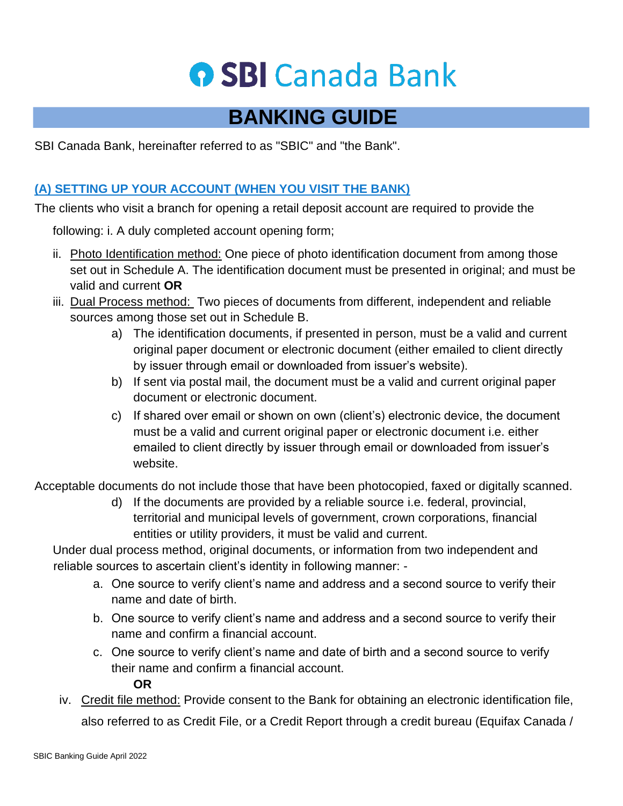## **O SBI Canada Bank**

### **BANKING GUIDE**

SBI Canada Bank, hereinafter referred to as "SBIC" and "the Bank".

#### **(A) SETTING UP YOUR ACCOUNT (WHEN YOU VISIT THE BANK)**

The clients who visit a branch for opening a retail deposit account are required to provide the

following: i. A duly completed account opening form;

- ii. Photo Identification method: One piece of photo identification document from among those set out in Schedule A. The identification document must be presented in original; and must be valid and current **OR**
- iii. Dual Process method: Two pieces of documents from different, independent and reliable sources among those set out in Schedule B.
	- a) The identification documents, if presented in person, must be a valid and current original paper document or electronic document (either emailed to client directly by issuer through email or downloaded from issuer's website).
	- b) If sent via postal mail, the document must be a valid and current original paper document or electronic document.
	- c) If shared over email or shown on own (client's) electronic device, the document must be a valid and current original paper or electronic document i.e. either emailed to client directly by issuer through email or downloaded from issuer's website.

Acceptable documents do not include those that have been photocopied, faxed or digitally scanned.

d) If the documents are provided by a reliable source i.e. federal, provincial, territorial and municipal levels of government, crown corporations, financial entities or utility providers, it must be valid and current.

Under dual process method, original documents, or information from two independent and reliable sources to ascertain client's identity in following manner: -

- a. One source to verify client's name and address and a second source to verify their name and date of birth.
- b. One source to verify client's name and address and a second source to verify their name and confirm a financial account.
- c. One source to verify client's name and date of birth and a second source to verify their name and confirm a financial account.

**OR** 

iv. Credit file method: Provide consent to the Bank for obtaining an electronic identification file, also referred to as Credit File, or a Credit Report through a credit bureau (Equifax Canada /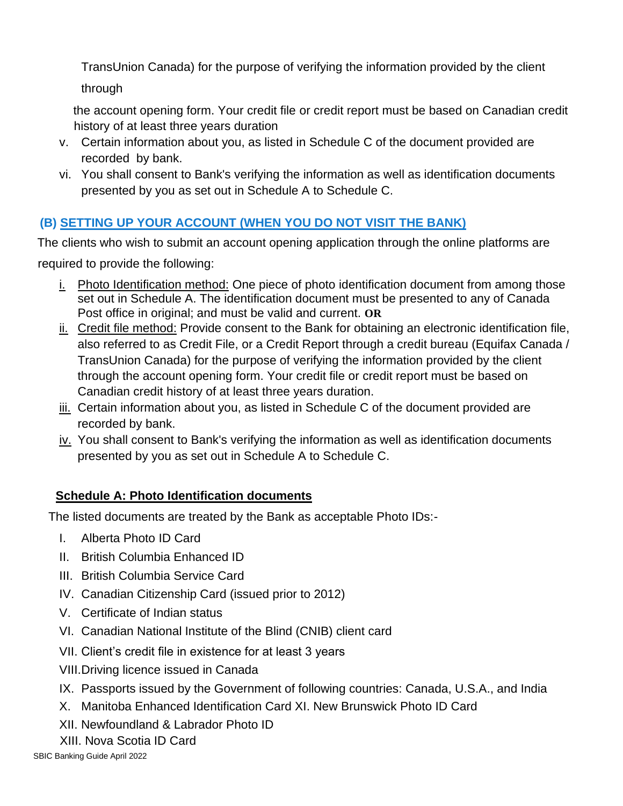TransUnion Canada) for the purpose of verifying the information provided by the client through

the account opening form. Your credit file or credit report must be based on Canadian credit history of at least three years duration

- v. Certain information about you, as listed in Schedule C of the document provided are recorded by bank.
- vi. You shall consent to Bank's verifying the information as well as identification documents presented by you as set out in Schedule A to Schedule C.

#### **(B) SETTING UP YOUR ACCOUNT (WHEN YOU DO NOT VISIT THE BANK)**

The clients who wish to submit an account opening application through the online platforms are required to provide the following:

- i. Photo Identification method: One piece of photo identification document from among those set out in Schedule A. The identification document must be presented to any of Canada Post office in original; and must be valid and current. **OR**
- i. Credit file method: Provide consent to the Bank for obtaining an electronic identification file, also referred to as Credit File, or a Credit Report through a credit bureau (Equifax Canada / TransUnion Canada) for the purpose of verifying the information provided by the client through the account opening form. Your credit file or credit report must be based on Canadian credit history of at least three years duration.
- iii. Certain information about you, as listed in Schedule C of the document provided are recorded by bank.
- iv. You shall consent to Bank's verifying the information as well as identification documents presented by you as set out in Schedule A to Schedule C.

#### **Schedule A: Photo Identification documents**

The listed documents are treated by the Bank as acceptable Photo IDs:-

- I. Alberta Photo ID Card
- II. British Columbia Enhanced ID
- III. British Columbia Service Card
- IV. Canadian Citizenship Card (issued prior to 2012)
- V. Certificate of Indian status
- VI. Canadian National Institute of the Blind (CNIB) client card
- VII. Client's credit file in existence for at least 3 years
- VIII.Driving licence issued in Canada
- IX. Passports issued by the Government of following countries: Canada, U.S.A., and India
- X. Manitoba Enhanced Identification Card XI. New Brunswick Photo ID Card
- XII. Newfoundland & Labrador Photo ID
- XIII. Nova Scotia ID Card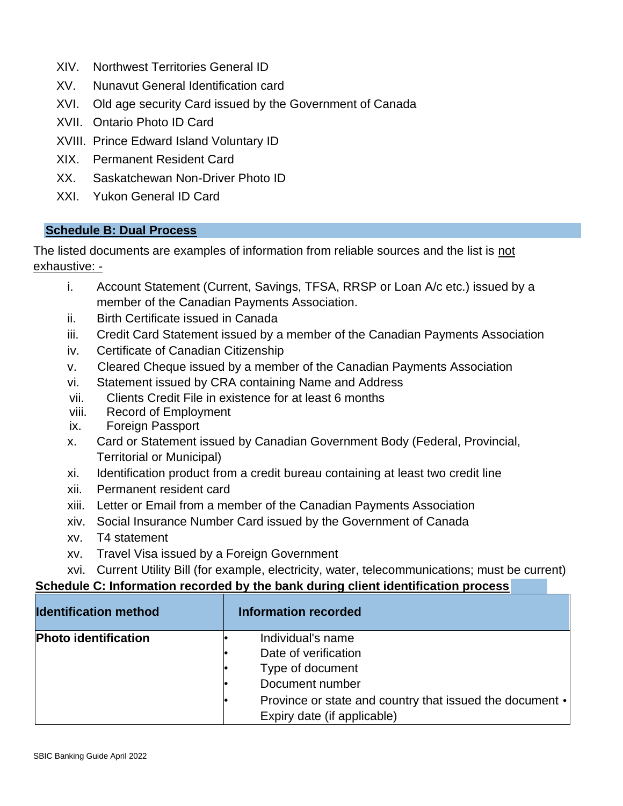- XIV. Northwest Territories General ID
- XV. Nunavut General Identification card
- XVI. Old age security Card issued by the Government of Canada
- XVII. Ontario Photo ID Card
- XVIII. Prince Edward Island Voluntary ID
- XIX. Permanent Resident Card
- XX. Saskatchewan Non-Driver Photo ID
- XXI. Yukon General ID Card

#### **Schedule B: Dual Process**

The listed documents are examples of information from reliable sources and the list is not exhaustive: -

- i. Account Statement (Current, Savings, TFSA, RRSP or Loan A/c etc.) issued by a member of the Canadian Payments Association.
- ii. Birth Certificate issued in Canada
- iii. Credit Card Statement issued by a member of the Canadian Payments Association
- iv. Certificate of Canadian Citizenship
- v. Cleared Cheque issued by a member of the Canadian Payments Association
- vi. Statement issued by CRA containing Name and Address
- vii. Clients Credit File in existence for at least 6 months
- viii. Record of Employment
- ix. Foreign Passport
- x. Card or Statement issued by Canadian Government Body (Federal, Provincial, Territorial or Municipal)
- xi. Identification product from a credit bureau containing at least two credit line
- xii. Permanent resident card
- xiii. Letter or Email from a member of the Canadian Payments Association
- xiv. Social Insurance Number Card issued by the Government of Canada
- xv. T4 statement
- xv. Travel Visa issued by a Foreign Government

xvi. Current Utility Bill (for example, electricity, water, telecommunications; must be current)

#### **Schedule C: Information recorded by the bank during client identification process**

| <b>Identification method</b> | <b>Information recorded</b>                                    |
|------------------------------|----------------------------------------------------------------|
| <b>Photo identification</b>  | Individual's name                                              |
|                              | Date of verification                                           |
|                              | Type of document                                               |
|                              | Document number                                                |
|                              | Province or state and country that issued the document $\cdot$ |
|                              | Expiry date (if applicable)                                    |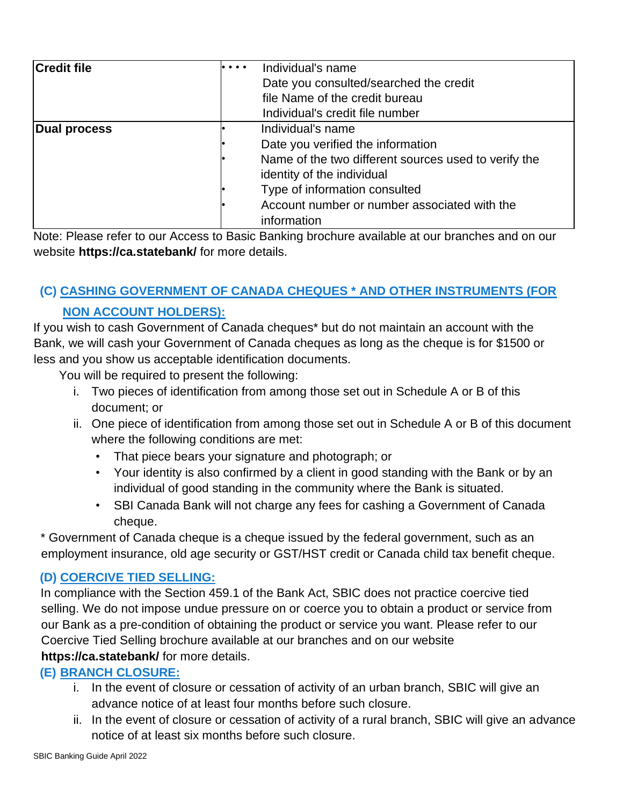| <b>Credit file</b> | $\bullet\bullet\bullet\bullet$ | Individual's name                                    |
|--------------------|--------------------------------|------------------------------------------------------|
|                    |                                | Date you consulted/searched the credit               |
|                    |                                | file Name of the credit bureau                       |
|                    |                                | Individual's credit file number                      |
| Dual process       |                                | Individual's name                                    |
|                    |                                | Date you verified the information                    |
|                    |                                | Name of the two different sources used to verify the |
|                    |                                | identity of the individual                           |
|                    |                                | Type of information consulted                        |
|                    |                                | Account number or number associated with the         |
|                    |                                | information                                          |

Note: Please refer to our Access to Basic Banking brochure available at our branches and on our website **https://ca.statebank/** for more details.

### **(C) CASHING GOVERNMENT OF CANADA CHEQUES \* AND OTHER INSTRUMENTS (FOR**

#### **NON ACCOUNT HOLDERS):**

If you wish to cash Government of Canada cheques\* but do not maintain an account with the Bank, we will cash your Government of Canada cheques as long as the cheque is for \$1500 or less and you show us acceptable identification documents.

You will be required to present the following:

- i. Two pieces of identification from among those set out in Schedule A or B of this document; or
- ii. One piece of identification from among those set out in Schedule A or B of this document where the following conditions are met:
	- That piece bears your signature and photograph; or
	- Your identity is also confirmed by a client in good standing with the Bank or by an individual of good standing in the community where the Bank is situated.
	- SBI Canada Bank will not charge any fees for cashing a Government of Canada cheque.

\* Government of Canada cheque is a cheque issued by the federal government, such as an employment insurance, old age security or GST/HST credit or Canada child tax benefit cheque.

#### **(D) COERCIVE TIED SELLING:**

In compliance with the Section 459.1 of the Bank Act, SBIC does not practice coercive tied selling. We do not impose undue pressure on or coerce you to obtain a product or service from our Bank as a pre-condition of obtaining the product or service you want. Please refer to our Coercive Tied Selling brochure available at our branches and on our website **https://ca.statebank/** for more details.

#### **(E) BRANCH CLOSURE:**

- i. In the event of closure or cessation of activity of an urban branch, SBIC will give an advance notice of at least four months before such closure.
- ii. In the event of closure or cessation of activity of a rural branch, SBIC will give an advance notice of at least six months before such closure.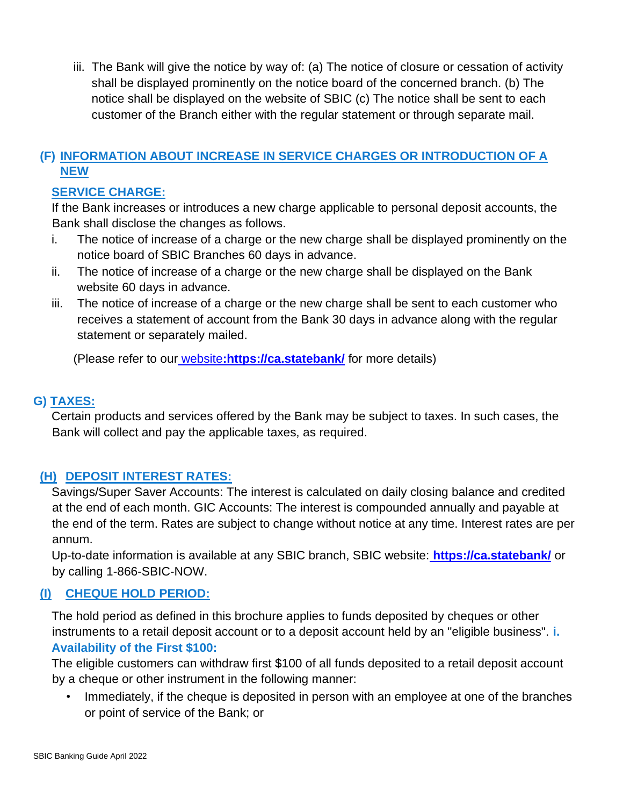iii. The Bank will give the notice by way of: (a) The notice of closure or cessation of activity shall be displayed prominently on the notice board of the concerned branch. (b) The notice shall be displayed on the website of SBIC (c) The notice shall be sent to each customer of the Branch either with the regular statement or through separate mail.

#### **(F) INFORMATION ABOUT INCREASE IN SERVICE CHARGES OR INTRODUCTION OF A NEW**

#### **SERVICE CHARGE:**

If the Bank increases or introduces a new charge applicable to personal deposit accounts, the Bank shall disclose the changes as follows.

- i. The notice of increase of a charge or the new charge shall be displayed prominently on the notice board of SBIC Branches 60 days in advance.
- ii. The notice of increase of a charge or the new charge shall be displayed on the Bank website 60 days in advance.
- iii. The notice of increase of a charge or the new charge shall be sent to each customer who receives a statement of account from the Bank 30 days in advance along with the regular statement or separately mailed.

(Please refer to our website**:https://ca.statebank/** for more details)

#### **G) TAXES:**

Certain products and services offered by the Bank may be subject to taxes. In such cases, the Bank will collect and pay the applicable taxes, as required.

#### **(H) DEPOSIT INTEREST RATES:**

Savings/Super Saver Accounts: The interest is calculated on daily closing balance and credited at the end of each month. GIC Accounts: The interest is compounded annually and payable at the end of the term. Rates are subject to change without notice at any time. Interest rates are per annum.

Up-to-date information is available at any SBIC branch, SBIC website: **https://ca.statebank/** or by calling 1-866-SBIC-NOW.

#### **(I) CHEQUE HOLD PERIOD:**

The hold period as defined in this brochure applies to funds deposited by cheques or other instruments to a retail deposit account or to a deposit account held by an "eligible business". **i. Availability of the First \$100:**

The eligible customers can withdraw first \$100 of all funds deposited to a retail deposit account by a cheque or other instrument in the following manner:

• Immediately, if the cheque is deposited in person with an employee at one of the branches or point of service of the Bank; or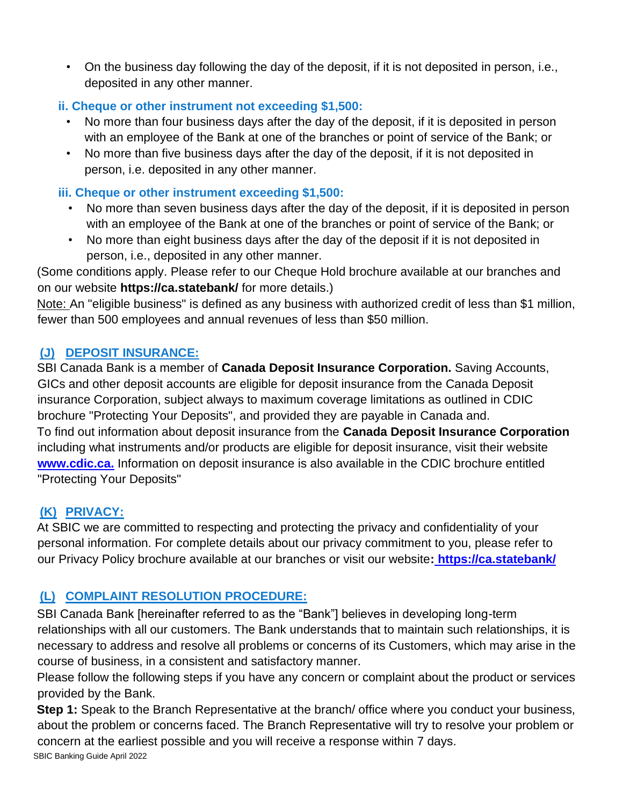• On the business day following the day of the deposit, if it is not deposited in person, i.e., deposited in any other manner.

#### **ii. Cheque or other instrument not exceeding \$1,500:**

- No more than four business days after the day of the deposit, if it is deposited in person with an employee of the Bank at one of the branches or point of service of the Bank; or
- No more than five business days after the day of the deposit, if it is not deposited in person, i.e. deposited in any other manner.

#### **iii. Cheque or other instrument exceeding \$1,500:**

- No more than seven business days after the day of the deposit, if it is deposited in person with an employee of the Bank at one of the branches or point of service of the Bank; or
- No more than eight business days after the day of the deposit if it is not deposited in person, i.e., deposited in any other manner.

(Some conditions apply. Please refer to our Cheque Hold brochure available at our branches and on our website **https://ca.statebank/** for more details.)

Note: An "eligible business" is defined as any business with authorized credit of less than \$1 million, fewer than 500 employees and annual revenues of less than \$50 million.

#### **(J) DEPOSIT INSURANCE:**

SBI Canada Bank is a member of **Canada Deposit Insurance Corporation.** Saving Accounts, GICs and other deposit accounts are eligible for deposit insurance from the Canada Deposit insurance Corporation, subject always to maximum coverage limitations as outlined in CDIC brochure "Protecting Your Deposits", and provided they are payable in Canada and. To find out information about deposit insurance from the **Canada Deposit Insurance Corporation**  including what instruments and/or products are eligible for deposit insurance, visit their website **[www.cdic.ca.](http://www.cdic.ca/)** Information on deposit insurance is also available in the CDIC brochure entitled "Protecting Your Deposits"

#### **(K) PRIVACY:**

At SBIC we are committed to respecting and protecting the privacy and confidentiality of your personal information. For complete details about our privacy commitment to you, please refer to our Privacy Policy brochure available at our branches or visit our website**: https://ca.statebank/**

#### **(L) COMPLAINT RESOLUTION PROCEDURE:**

SBI Canada Bank [hereinafter referred to as the "Bank"] believes in developing long-term relationships with all our customers. The Bank understands that to maintain such relationships, it is necessary to address and resolve all problems or concerns of its Customers, which may arise in the course of business, in a consistent and satisfactory manner.

Please follow the following steps if you have any concern or complaint about the product or services provided by the Bank.

SBIC Banking Guide April 2022 **Step 1:** Speak to the Branch Representative at the branch/ office where you conduct your business, about the problem or concerns faced. The Branch Representative will try to resolve your problem or concern at the earliest possible and you will receive a response within 7 days.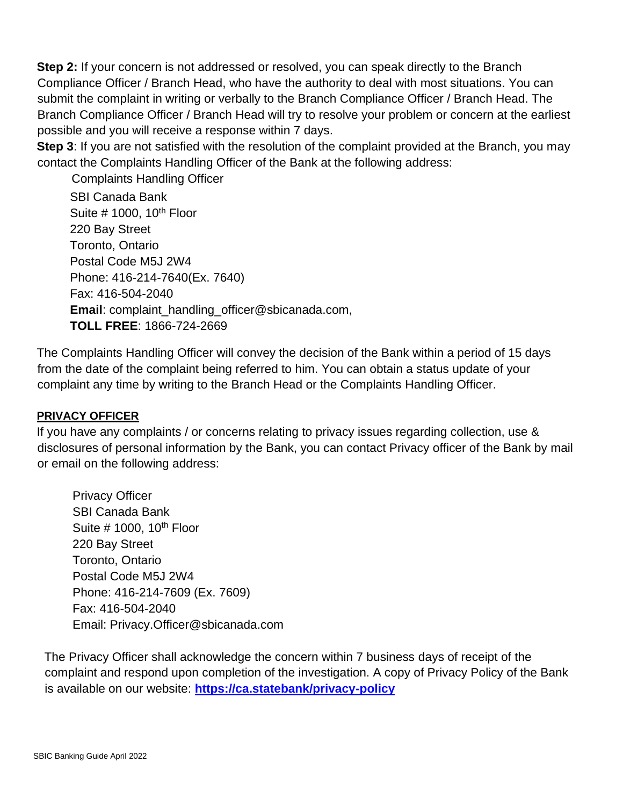**Step 2:** If your concern is not addressed or resolved, you can speak directly to the Branch Compliance Officer / Branch Head, who have the authority to deal with most situations. You can submit the complaint in writing or verbally to the Branch Compliance Officer / Branch Head. The Branch Compliance Officer / Branch Head will try to resolve your problem or concern at the earliest possible and you will receive a response within 7 days.

**Step 3**: If you are not satisfied with the resolution of the complaint provided at the Branch, you may contact the Complaints Handling Officer of the Bank at the following address:

Complaints Handling Officer

SBI Canada Bank Suite  $#$  1000, 10<sup>th</sup> Floor 220 Bay Street Toronto, Ontario Postal Code M5J 2W4 Phone: 416-214-7640(Ex. 7640) Fax: 416-504-2040 **Email**: complaint\_handling\_officer@sbicanada.com, **TOLL FREE**: 1866-724-2669

The Complaints Handling Officer will convey the decision of the Bank within a period of 15 days from the date of the complaint being referred to him. You can obtain a status update of your complaint any time by writing to the Branch Head or the Complaints Handling Officer.

#### **PRIVACY OFFICER**

If you have any complaints / or concerns relating to privacy issues regarding collection, use & disclosures of personal information by the Bank, you can contact Privacy officer of the Bank by mail or email on the following address:

Privacy Officer SBI Canada Bank Suite  $\#$  1000, 10<sup>th</sup> Floor 220 Bay Street Toronto, Ontario Postal Code M5J 2W4 Phone: 416-214-7609 (Ex. 7609) Fax: 416-504-2040 Email: Privacy.Officer@sbicanada.com

The Privacy Officer shall acknowledge the concern within 7 business days of receipt of the complaint and respond upon completion of the investigation. A copy of Privacy Policy of the Bank is available on our website: **<https://ca.statebank/privacy-policy>**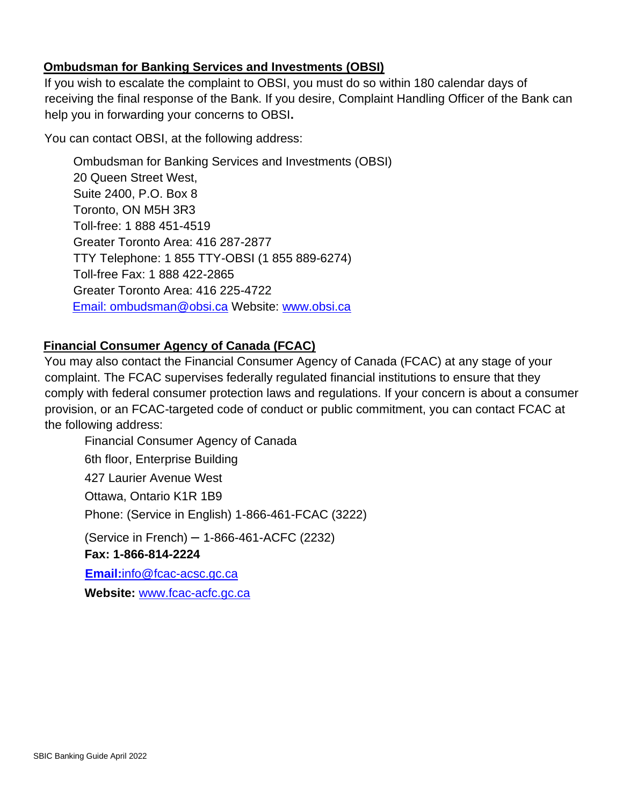#### **Ombudsman for Banking Services and Investments (OBSI)**

If you wish to escalate the complaint to OBSI, you must do so within 180 calendar days of receiving the final response of the Bank. If you desire, Complaint Handling Officer of the Bank can help you in forwarding your concerns to OBSI**.**

You can contact OBSI, at the following address:

Ombudsman for Banking Services and Investments (OBSI) 20 Queen Street West, Suite 2400, P.O. Box 8 Toronto, ON M5H 3R3 Toll-free: 1 888 451-4519 Greater Toronto Area: 416 287-2877 TTY Telephone: 1 855 TTY-OBSI (1 855 889-6274) Toll-free Fax: 1 888 422-2865 Greater Toronto Area: 416 225-4722 Email: ombudsman@obsi.ca Website: [www.obsi.ca](http://www.obsi.ca/)

#### **Financial Consumer Agency of Canada (FCAC)**

You may also contact the Financial Consumer Agency of Canada (FCAC) at any stage of your complaint. The FCAC supervises federally regulated financial institutions to ensure that they comply with federal consumer protection laws and regulations. If your concern is about a consumer provision, or an FCAC-targeted code of conduct or public commitment, you can contact FCAC at the following address:

Financial Consumer Agency of Canada 6th floor, Enterprise Building 427 Laurier Avenue West Ottawa, Ontario K1R 1B9 Phone: (Service in English) 1-866-461-FCAC (3222) (Service in French) – 1-866-461-ACFC (2232) **Fax: 1-866-814-2224 Email:**info@fcac-acsc.gc.ca **Website:** [www.fcac-acfc.gc.ca](http://www.fcac-acfc.gc.ca/)